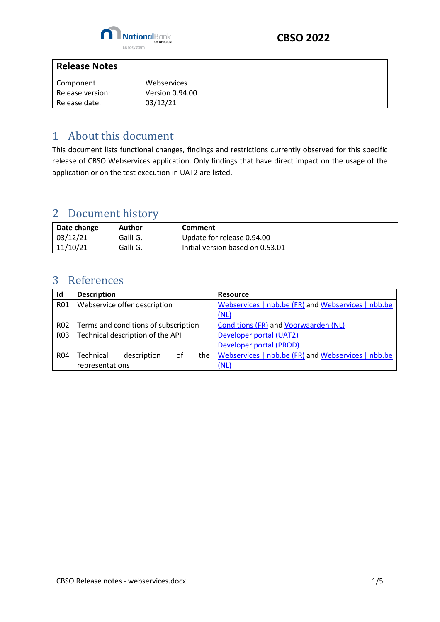

#### **Release Notes**

| Component        | Webservices            |
|------------------|------------------------|
| Release version: | <b>Version 0.94.00</b> |
| Release date:    | 03/12/21               |

#### <span id="page-0-0"></span>1 About this document

This document lists functional changes, findings and restrictions currently observed for this specific release of CBSO Webservices application. Only findings that have direct impact on the usage of the application or on the test execution in UAT2 are listed.

## <span id="page-0-1"></span>2 Document history

| Date change | Author   | Comment                          |
|-------------|----------|----------------------------------|
| 03/12/21    | Galli G. | Update for release 0.94.00       |
| 11/10/21    | Galli G. | Initial version based on 0.53.01 |

## <span id="page-0-2"></span>3 References

| Id               | <b>Description</b>                    | <b>Resource</b>                                    |
|------------------|---------------------------------------|----------------------------------------------------|
| R01              | Webservice offer description          | Webservices   nbb.be (FR) and Webservices   nbb.be |
|                  |                                       | (NL)                                               |
| R <sub>02</sub>  | Terms and conditions of subscription  | <b>Conditions (FR) and Voorwaarden (NL)</b>        |
| R <sub>0</sub> 3 | Technical description of the API      | Developer portal (UAT2)                            |
|                  |                                       | Developer portal (PROD)                            |
| <b>R04</b>       | Technical<br>description<br>οf<br>the | Webservices   nbb.be (FR) and Webservices   nbb.be |
|                  | representations                       | (NL)                                               |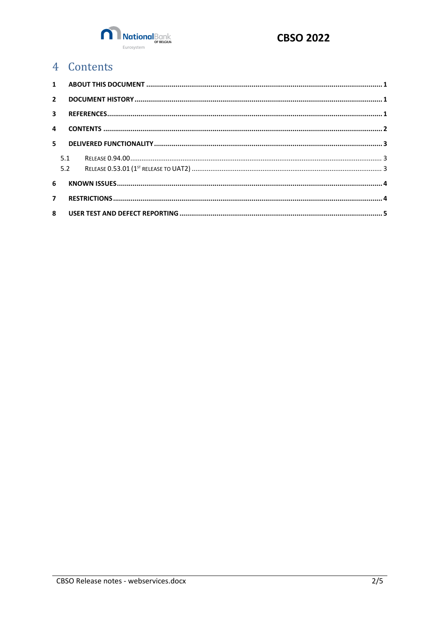

# <span id="page-1-0"></span>4 Contents

| $2^{\circ}$    |     |  |  |
|----------------|-----|--|--|
|                |     |  |  |
|                |     |  |  |
|                |     |  |  |
|                | 5.1 |  |  |
|                | 5.2 |  |  |
| 6              |     |  |  |
| $\overline{7}$ |     |  |  |
|                |     |  |  |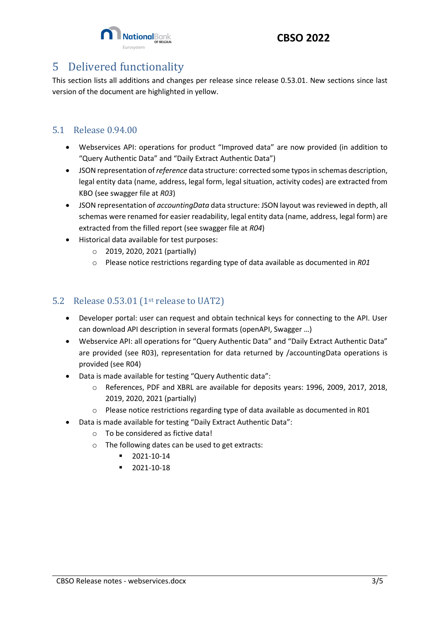

#### **CBSO 2022**

## <span id="page-2-0"></span>5 Delivered functionality

This section lists all additions and changes per release since release 0.53.01. New sections since last version of the document are highlighted in yellow.

#### <span id="page-2-1"></span>5.1 Release 0.94.00

- Webservices API: operations for product "Improved data" are now provided (in addition to "Query Authentic Data" and "Daily Extract Authentic Data")
- JSON representation of *reference* data structure: corrected some typos in schemas description, legal entity data (name, address, legal form, legal situation, activity codes) are extracted from KBO (see swagger file at *R03*)
- JSON representation of *accountingData* data structure: JSON layout was reviewed in depth, all schemas were renamed for easier readability, legal entity data (name, address, legal form) are extracted from the filled report (see swagger file at *R04*)
- Historical data available for test purposes:
	- o 2019, 2020, 2021 (partially)
	- o Please notice restrictions regarding type of data available as documented in *R01*

#### <span id="page-2-2"></span>5.2 Release 0.53.01 (1st release to UAT2)

- Developer portal: user can request and obtain technical keys for connecting to the API. User can download API description in several formats (openAPI, Swagger …)
- Webservice API: all operations for "Query Authentic Data" and "Daily Extract Authentic Data" are provided (see R03), representation for data returned by /accountingData operations is provided (see R04)
- Data is made available for testing "Query Authentic data":
	- o References, PDF and XBRL are available for deposits years: 1996, 2009, 2017, 2018, 2019, 2020, 2021 (partially)
	- o Please notice restrictions regarding type of data available as documented in R01
- Data is made available for testing "Daily Extract Authentic Data":
	- $\circ$  To be considered as fictive data!
	- o The following dates can be used to get extracts:
		- 2021-10-14
		- 2021-10-18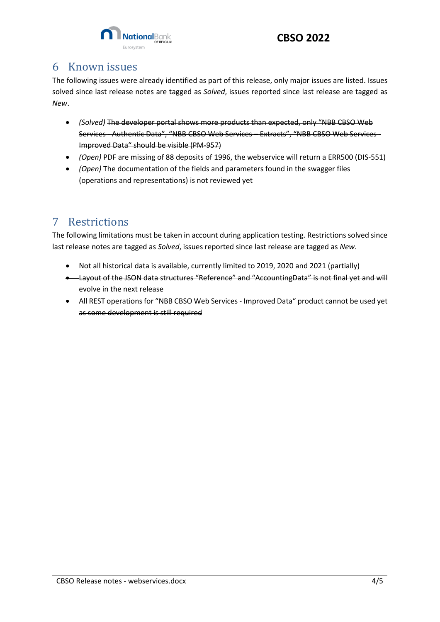

#### <span id="page-3-0"></span>6 Known issues

The following issues were already identified as part of this release, only major issues are listed. Issues solved since last release notes are tagged as *Solved*, issues reported since last release are tagged as *New*.

- *(Solved)* The developer portal shows more products than expected, only "NBB CBSO Web Services - Authentic Data", "NBB CBSO Web Services – Extracts", "NBB CBSO Web Services - Improved Data" should be visible (PM-957)
- *(Open)* PDF are missing of 88 deposits of 1996, the webservice will return a ERR500 (DIS-551)
- *(Open)* The documentation of the fields and parameters found in the swagger files (operations and representations) is not reviewed yet

## <span id="page-3-1"></span>7 Restrictions

The following limitations must be taken in account during application testing. Restrictions solved since last release notes are tagged as *Solved*, issues reported since last release are tagged as *New*.

- Not all historical data is available, currently limited to 2019, 2020 and 2021 (partially)
- Layout of the JSON data structures "Reference" and "AccountingData" is not final yet and will evolve in the next release
- All REST operations for "NBB CBSO Web Services Improved Data" product cannot be used yet as some development is still required